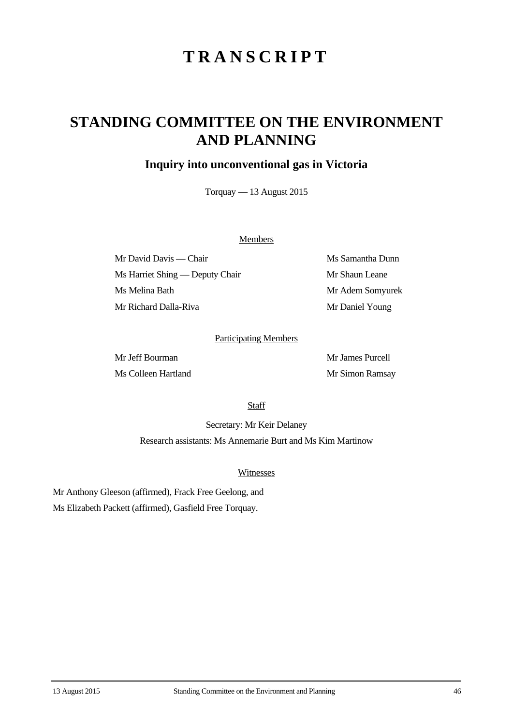# **TRANSCRIPT**

## **STANDING COMMITTEE ON THE ENVIRONMENT AND PLANNING**

### **Inquiry into unconventional gas in Victoria**

Torquay — 13 August 2015

#### **Members**

Mr David Davis — Chair Ms Samantha Dunn Ms Harriet Shing — Deputy Chair Mr Shaun Leane Ms Melina Bath Mr Adem Somyurek Mr Richard Dalla-Riva Mr Daniel Young

#### Participating Members

Mr Jeff Bourman Mr James Purcell Ms Colleen Hartland Mr Simon Ramsay

**Staff** 

Secretary: Mr Keir Delaney Research assistants: Ms Annemarie Burt and Ms Kim Martinow

#### Witnesses

Mr Anthony Gleeson (affirmed), Frack Free Geelong, and Ms Elizabeth Packett (affirmed), Gasfield Free Torquay.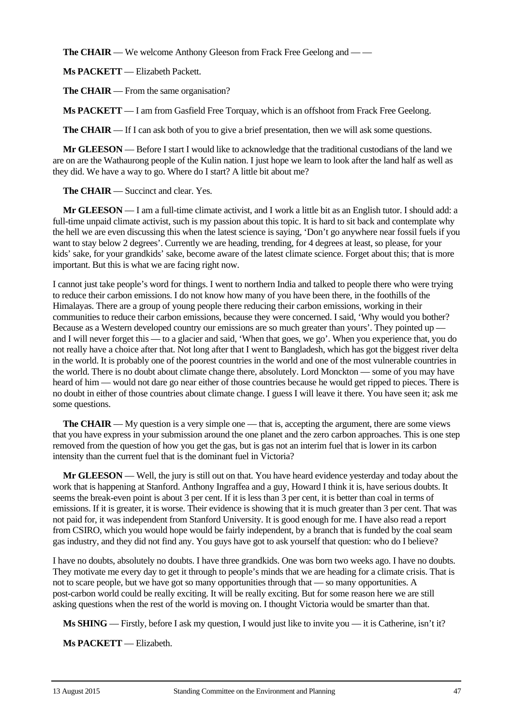**The CHAIR** — We welcome Anthony Gleeson from Frack Free Geelong and — —

**Ms PACKETT** — Elizabeth Packett.

**The CHAIR** — From the same organisation?

**Ms PACKETT** — I am from Gasfield Free Torquay, which is an offshoot from Frack Free Geelong.

**The CHAIR** — If I can ask both of you to give a brief presentation, then we will ask some questions.

**Mr GLEESON** — Before I start I would like to acknowledge that the traditional custodians of the land we are on are the Wathaurong people of the Kulin nation. I just hope we learn to look after the land half as well as they did. We have a way to go. Where do I start? A little bit about me?

**The CHAIR** — Succinct and clear. Yes.

**Mr GLEESON** — I am a full-time climate activist, and I work a little bit as an English tutor. I should add: a full-time unpaid climate activist, such is my passion about this topic. It is hard to sit back and contemplate why the hell we are even discussing this when the latest science is saying, 'Don't go anywhere near fossil fuels if you want to stay below 2 degrees'. Currently we are heading, trending, for 4 degrees at least, so please, for your kids' sake, for your grandkids' sake, become aware of the latest climate science. Forget about this; that is more important. But this is what we are facing right now.

I cannot just take people's word for things. I went to northern India and talked to people there who were trying to reduce their carbon emissions. I do not know how many of you have been there, in the foothills of the Himalayas. There are a group of young people there reducing their carbon emissions, working in their communities to reduce their carbon emissions, because they were concerned. I said, 'Why would you bother? Because as a Western developed country our emissions are so much greater than yours'. They pointed up – and I will never forget this — to a glacier and said, 'When that goes, we go'. When you experience that, you do not really have a choice after that. Not long after that I went to Bangladesh, which has got the biggest river delta in the world. It is probably one of the poorest countries in the world and one of the most vulnerable countries in the world. There is no doubt about climate change there, absolutely. Lord Monckton — some of you may have heard of him — would not dare go near either of those countries because he would get ripped to pieces. There is no doubt in either of those countries about climate change. I guess I will leave it there. You have seen it; ask me some questions.

**The CHAIR** — My question is a very simple one — that is, accepting the argument, there are some views that you have express in your submission around the one planet and the zero carbon approaches. This is one step removed from the question of how you get the gas, but is gas not an interim fuel that is lower in its carbon intensity than the current fuel that is the dominant fuel in Victoria?

**Mr GLEESON** — Well, the jury is still out on that. You have heard evidence yesterday and today about the work that is happening at Stanford. Anthony Ingraffea and a guy, Howard I think it is, have serious doubts. It seems the break-even point is about 3 per cent. If it is less than 3 per cent, it is better than coal in terms of emissions. If it is greater, it is worse. Their evidence is showing that it is much greater than 3 per cent. That was not paid for, it was independent from Stanford University. It is good enough for me. I have also read a report from CSIRO, which you would hope would be fairly independent, by a branch that is funded by the coal seam gas industry, and they did not find any. You guys have got to ask yourself that question: who do I believe?

I have no doubts, absolutely no doubts. I have three grandkids. One was born two weeks ago. I have no doubts. They motivate me every day to get it through to people's minds that we are heading for a climate crisis. That is not to scare people, but we have got so many opportunities through that — so many opportunities. A post-carbon world could be really exciting. It will be really exciting. But for some reason here we are still asking questions when the rest of the world is moving on. I thought Victoria would be smarter than that.

**Ms SHING** — Firstly, before I ask my question, I would just like to invite you — it is Catherine, isn't it?

**Ms PACKETT** — Elizabeth.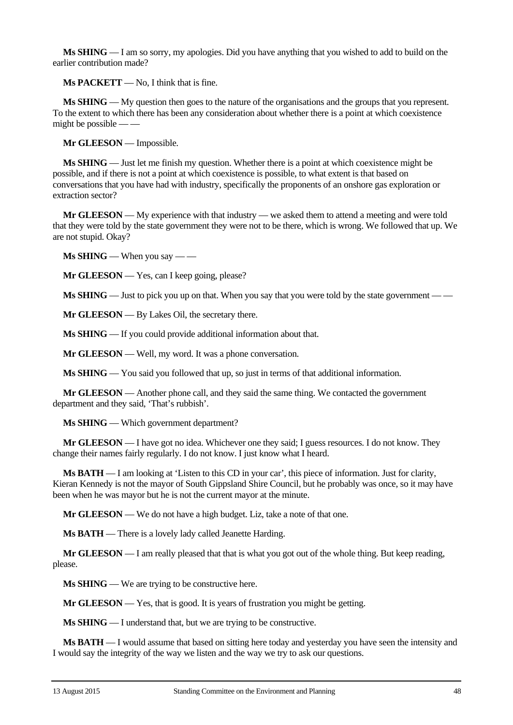**Ms SHING** — I am so sorry, my apologies. Did you have anything that you wished to add to build on the earlier contribution made?

**Ms PACKETT** — No, I think that is fine.

**Ms SHING** — My question then goes to the nature of the organisations and the groups that you represent. To the extent to which there has been any consideration about whether there is a point at which coexistence might be possible — —

**Mr GLEESON** — Impossible.

**Ms SHING** — Just let me finish my question. Whether there is a point at which coexistence might be possible, and if there is not a point at which coexistence is possible, to what extent is that based on conversations that you have had with industry, specifically the proponents of an onshore gas exploration or extraction sector?

**Mr GLEESON** — My experience with that industry — we asked them to attend a meeting and were told that they were told by the state government they were not to be there, which is wrong. We followed that up. We are not stupid. Okay?

**Ms SHING** — When you say — —

**Mr GLEESON** — Yes, can I keep going, please?

**Ms SHING** — Just to pick you up on that. When you say that you were told by the state government — —

**Mr GLEESON** — By Lakes Oil, the secretary there.

**Ms SHING** — If you could provide additional information about that.

**Mr GLEESON** — Well, my word. It was a phone conversation.

**Ms SHING** — You said you followed that up, so just in terms of that additional information.

**Mr GLEESON** — Another phone call, and they said the same thing. We contacted the government department and they said, 'That's rubbish'.

**Ms SHING** — Which government department?

**Mr GLEESON** — I have got no idea. Whichever one they said; I guess resources. I do not know. They change their names fairly regularly. I do not know. I just know what I heard.

**Ms BATH** — I am looking at 'Listen to this CD in your car', this piece of information. Just for clarity, Kieran Kennedy is not the mayor of South Gippsland Shire Council, but he probably was once, so it may have been when he was mayor but he is not the current mayor at the minute.

**Mr GLEESON** — We do not have a high budget. Liz, take a note of that one.

**Ms BATH** — There is a lovely lady called Jeanette Harding.

**Mr GLEESON** — I am really pleased that that is what you got out of the whole thing. But keep reading, please.

**Ms SHING** — We are trying to be constructive here.

**Mr GLEESON** — Yes, that is good. It is years of frustration you might be getting.

**Ms SHING** — I understand that, but we are trying to be constructive.

**Ms BATH** — I would assume that based on sitting here today and yesterday you have seen the intensity and I would say the integrity of the way we listen and the way we try to ask our questions.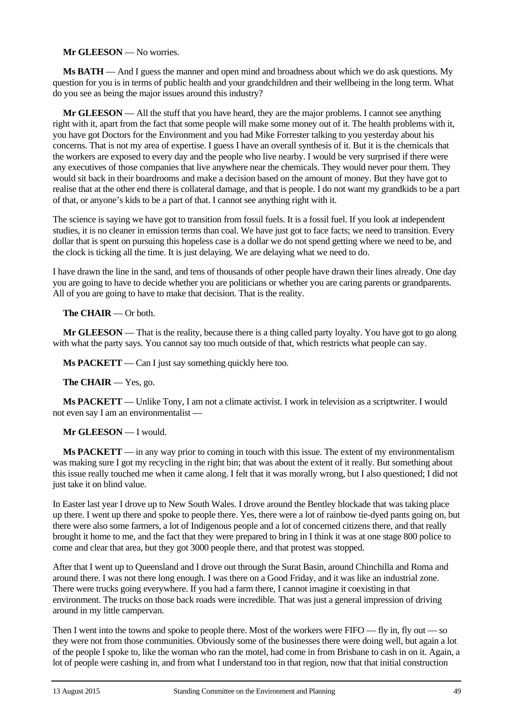#### **Mr GLEESON** — No worries.

**Ms BATH** — And I guess the manner and open mind and broadness about which we do ask questions. My question for you is in terms of public health and your grandchildren and their wellbeing in the long term. What do you see as being the major issues around this industry?

**Mr GLEESON** — All the stuff that you have heard, they are the major problems. I cannot see anything right with it, apart from the fact that some people will make some money out of it. The health problems with it, you have got Doctors for the Environment and you had Mike Forrester talking to you yesterday about his concerns. That is not my area of expertise. I guess I have an overall synthesis of it. But it is the chemicals that the workers are exposed to every day and the people who live nearby. I would be very surprised if there were any executives of those companies that live anywhere near the chemicals. They would never pour them. They would sit back in their boardrooms and make a decision based on the amount of money. But they have got to realise that at the other end there is collateral damage, and that is people. I do not want my grandkids to be a part of that, or anyone's kids to be a part of that. I cannot see anything right with it.

The science is saying we have got to transition from fossil fuels. It is a fossil fuel. If you look at independent studies, it is no cleaner in emission terms than coal. We have just got to face facts; we need to transition. Every dollar that is spent on pursuing this hopeless case is a dollar we do not spend getting where we need to be, and the clock is ticking all the time. It is just delaying. We are delaying what we need to do.

I have drawn the line in the sand, and tens of thousands of other people have drawn their lines already. One day you are going to have to decide whether you are politicians or whether you are caring parents or grandparents. All of you are going to have to make that decision. That is the reality.

#### **The CHAIR** — Or both.

**Mr GLEESON** — That is the reality, because there is a thing called party loyalty. You have got to go along with what the party says. You cannot say too much outside of that, which restricts what people can say.

**Ms PACKETT** — Can I just say something quickly here too.

**The CHAIR** — Yes, go.

**Ms PACKETT** — Unlike Tony, I am not a climate activist. I work in television as a scriptwriter. I would not even say I am an environmentalist —

#### **Mr GLEESON** — I would.

**Ms PACKETT** — in any way prior to coming in touch with this issue. The extent of my environmentalism was making sure I got my recycling in the right bin; that was about the extent of it really. But something about this issue really touched me when it came along. I felt that it was morally wrong, but I also questioned; I did not just take it on blind value.

In Easter last year I drove up to New South Wales. I drove around the Bentley blockade that was taking place up there. I went up there and spoke to people there. Yes, there were a lot of rainbow tie-dyed pants going on, but there were also some farmers, a lot of Indigenous people and a lot of concerned citizens there, and that really brought it home to me, and the fact that they were prepared to bring in I think it was at one stage 800 police to come and clear that area, but they got 3000 people there, and that protest was stopped.

After that I went up to Queensland and I drove out through the Surat Basin, around Chinchilla and Roma and around there. I was not there long enough. I was there on a Good Friday, and it was like an industrial zone. There were trucks going everywhere. If you had a farm there, I cannot imagine it coexisting in that environment. The trucks on those back roads were incredible. That was just a general impression of driving around in my little campervan.

Then I went into the towns and spoke to people there. Most of the workers were FIFO — fly in, fly out — so they were not from those communities. Obviously some of the businesses there were doing well, but again a lot of the people I spoke to, like the woman who ran the motel, had come in from Brisbane to cash in on it. Again, a lot of people were cashing in, and from what I understand too in that region, now that that initial construction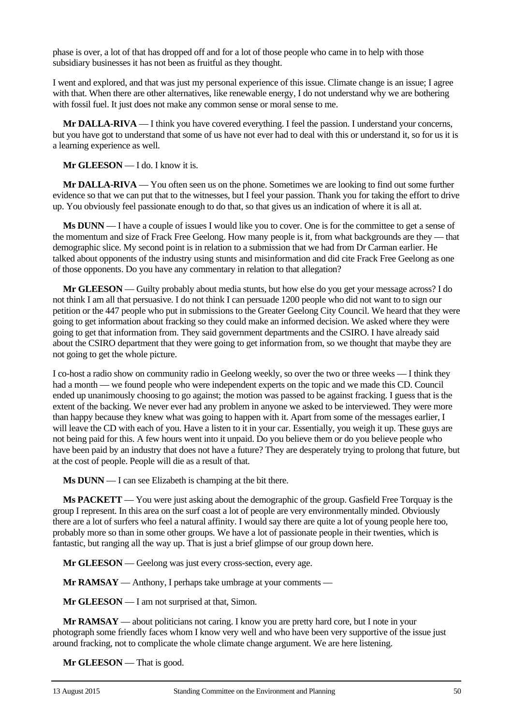phase is over, a lot of that has dropped off and for a lot of those people who came in to help with those subsidiary businesses it has not been as fruitful as they thought.

I went and explored, and that was just my personal experience of this issue. Climate change is an issue; I agree with that. When there are other alternatives, like renewable energy, I do not understand why we are bothering with fossil fuel. It just does not make any common sense or moral sense to me.

**Mr DALLA-RIVA** — I think you have covered everything. I feel the passion. I understand your concerns, but you have got to understand that some of us have not ever had to deal with this or understand it, so for us it is a learning experience as well.

**Mr GLEESON** — I do. I know it is.

**Mr DALLA-RIVA** — You often seen us on the phone. Sometimes we are looking to find out some further evidence so that we can put that to the witnesses, but I feel your passion. Thank you for taking the effort to drive up. You obviously feel passionate enough to do that, so that gives us an indication of where it is all at.

**Ms DUNN** — I have a couple of issues I would like you to cover. One is for the committee to get a sense of the momentum and size of Frack Free Geelong. How many people is it, from what backgrounds are they — that demographic slice. My second point is in relation to a submission that we had from Dr Carman earlier. He talked about opponents of the industry using stunts and misinformation and did cite Frack Free Geelong as one of those opponents. Do you have any commentary in relation to that allegation?

**Mr GLEESON** — Guilty probably about media stunts, but how else do you get your message across? I do not think I am all that persuasive. I do not think I can persuade 1200 people who did not want to to sign our petition or the 447 people who put in submissions to the Greater Geelong City Council. We heard that they were going to get information about fracking so they could make an informed decision. We asked where they were going to get that information from. They said government departments and the CSIRO. I have already said about the CSIRO department that they were going to get information from, so we thought that maybe they are not going to get the whole picture.

I co-host a radio show on community radio in Geelong weekly, so over the two or three weeks — I think they had a month — we found people who were independent experts on the topic and we made this CD. Council ended up unanimously choosing to go against; the motion was passed to be against fracking. I guess that is the extent of the backing. We never ever had any problem in anyone we asked to be interviewed. They were more than happy because they knew what was going to happen with it. Apart from some of the messages earlier, I will leave the CD with each of you. Have a listen to it in your car. Essentially, you weigh it up. These guys are not being paid for this. A few hours went into it unpaid. Do you believe them or do you believe people who have been paid by an industry that does not have a future? They are desperately trying to prolong that future, but at the cost of people. People will die as a result of that.

**Ms DUNN** — I can see Elizabeth is champing at the bit there.

**Ms PACKETT** — You were just asking about the demographic of the group. Gasfield Free Torquay is the group I represent. In this area on the surf coast a lot of people are very environmentally minded. Obviously there are a lot of surfers who feel a natural affinity. I would say there are quite a lot of young people here too, probably more so than in some other groups. We have a lot of passionate people in their twenties, which is fantastic, but ranging all the way up. That is just a brief glimpse of our group down here.

**Mr GLEESON** — Geelong was just every cross-section, every age.

**Mr RAMSAY** — Anthony, I perhaps take umbrage at your comments —

**Mr GLEESON** — I am not surprised at that, Simon.

**Mr RAMSAY** — about politicians not caring. I know you are pretty hard core, but I note in your photograph some friendly faces whom I know very well and who have been very supportive of the issue just around fracking, not to complicate the whole climate change argument. We are here listening.

**Mr GLEESON** — That is good.